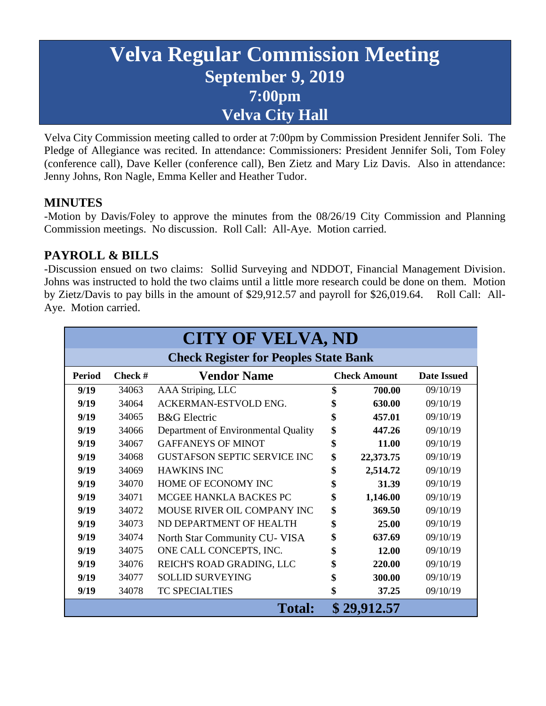# **Velva Regular Commission Meeting September 9, 2019 7:00pm Velva City Hall**

Velva City Commission meeting called to order at 7:00pm by Commission President Jennifer Soli. The Pledge of Allegiance was recited. In attendance: Commissioners: President Jennifer Soli, Tom Foley (conference call), Dave Keller (conference call), Ben Zietz and Mary Liz Davis. Also in attendance: Jenny Johns, Ron Nagle, Emma Keller and Heather Tudor.

### **MINUTES**

-Motion by Davis/Foley to approve the minutes from the 08/26/19 City Commission and Planning Commission meetings. No discussion. Roll Call: All-Aye. Motion carried.

# **PAYROLL & BILLS**

-Discussion ensued on two claims: Sollid Surveying and NDDOT, Financial Management Division. Johns was instructed to hold the two claims until a little more research could be done on them. Motion by Zietz/Davis to pay bills in the amount of \$29,912.57 and payroll for \$26,019.64. Roll Call: All-Aye. Motion carried.

| <b>CITY OF VELVA, ND</b>                     |           |                                     |                     |           |                    |
|----------------------------------------------|-----------|-------------------------------------|---------------------|-----------|--------------------|
| <b>Check Register for Peoples State Bank</b> |           |                                     |                     |           |                    |
| <b>Period</b>                                | Check $#$ | <b>Vendor Name</b>                  | <b>Check Amount</b> |           | <b>Date Issued</b> |
| 9/19                                         | 34063     | AAA Striping, LLC                   | \$                  | 700.00    | 09/10/19           |
| 9/19                                         | 34064     | ACKERMAN-ESTVOLD ENG.               | \$                  | 630.00    | 09/10/19           |
| 9/19                                         | 34065     | <b>B&amp;G</b> Electric             | \$                  | 457.01    | 09/10/19           |
| 9/19                                         | 34066     | Department of Environmental Quality | \$                  | 447.26    | 09/10/19           |
| 9/19                                         | 34067     | <b>GAFFANEYS OF MINOT</b>           | \$                  | 11.00     | 09/10/19           |
| 9/19                                         | 34068     | <b>GUSTAFSON SEPTIC SERVICE INC</b> | \$                  | 22,373.75 | 09/10/19           |
| 9/19                                         | 34069     | <b>HAWKINS INC</b>                  | \$                  | 2,514.72  | 09/10/19           |
| 9/19                                         | 34070     | HOME OF ECONOMY INC                 | \$                  | 31.39     | 09/10/19           |
| 9/19                                         | 34071     | MCGEE HANKLA BACKES PC              | \$                  | 1,146.00  | 09/10/19           |
| 9/19                                         | 34072     | MOUSE RIVER OIL COMPANY INC         | \$                  | 369.50    | 09/10/19           |
| 9/19                                         | 34073     | ND DEPARTMENT OF HEALTH             | \$                  | 25.00     | 09/10/19           |
| 9/19                                         | 34074     | North Star Community CU- VISA       | \$                  | 637.69    | 09/10/19           |
| 9/19                                         | 34075     | ONE CALL CONCEPTS, INC.             | \$                  | 12.00     | 09/10/19           |
| 9/19                                         | 34076     | REICH'S ROAD GRADING, LLC           |                     | 220.00    | 09/10/19           |
| 9/19                                         | 34077     | <b>SOLLID SURVEYING</b>             | \$                  | 300.00    | 09/10/19           |
| 9/19                                         | 34078     | <b>TC SPECIALTIES</b>               | \$                  | 37.25     | 09/10/19           |
| <b>Total:</b>                                |           |                                     | \$29,912.57         |           |                    |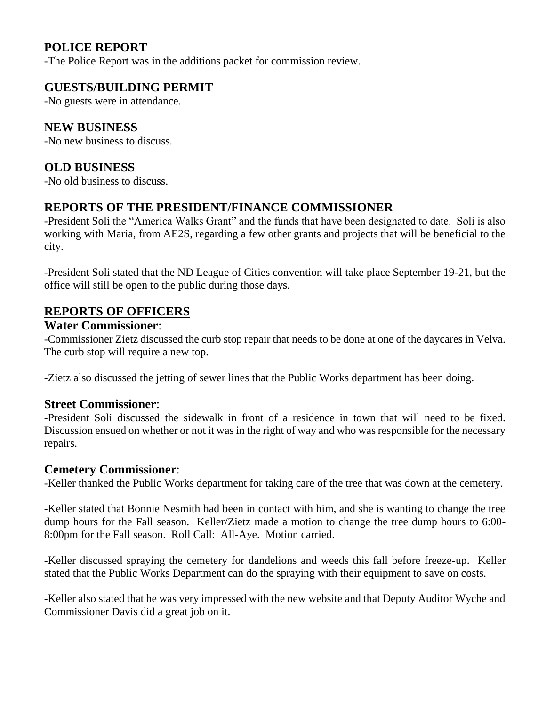# **POLICE REPORT**

-The Police Report was in the additions packet for commission review.

# **GUESTS/BUILDING PERMIT**

-No guests were in attendance.

### **NEW BUSINESS**

-No new business to discuss.

### **OLD BUSINESS**

-No old business to discuss.

### **REPORTS OF THE PRESIDENT/FINANCE COMMISSIONER**

-President Soli the "America Walks Grant" and the funds that have been designated to date. Soli is also working with Maria, from AE2S, regarding a few other grants and projects that will be beneficial to the city.

-President Soli stated that the ND League of Cities convention will take place September 19-21, but the office will still be open to the public during those days.

## **REPORTS OF OFFICERS**

# **Water Commissioner**:

-Commissioner Zietz discussed the curb stop repair that needs to be done at one of the daycares in Velva. The curb stop will require a new top.

-Zietz also discussed the jetting of sewer lines that the Public Works department has been doing.

### **Street Commissioner**:

-President Soli discussed the sidewalk in front of a residence in town that will need to be fixed. Discussion ensued on whether or not it was in the right of way and who was responsible for the necessary repairs.

#### **Cemetery Commissioner**:

-Keller thanked the Public Works department for taking care of the tree that was down at the cemetery.

-Keller stated that Bonnie Nesmith had been in contact with him, and she is wanting to change the tree dump hours for the Fall season. Keller/Zietz made a motion to change the tree dump hours to 6:00- 8:00pm for the Fall season. Roll Call: All-Aye. Motion carried.

-Keller discussed spraying the cemetery for dandelions and weeds this fall before freeze-up. Keller stated that the Public Works Department can do the spraying with their equipment to save on costs.

-Keller also stated that he was very impressed with the new website and that Deputy Auditor Wyche and Commissioner Davis did a great job on it.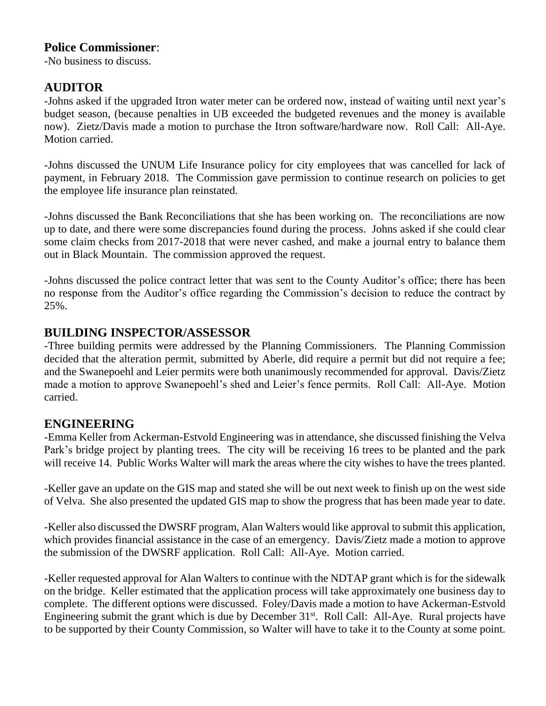### **Police Commissioner**:

-No business to discuss.

# **AUDITOR**

-Johns asked if the upgraded Itron water meter can be ordered now, instead of waiting until next year's budget season, (because penalties in UB exceeded the budgeted revenues and the money is available now). Zietz/Davis made a motion to purchase the Itron software/hardware now. Roll Call: All-Aye. Motion carried.

-Johns discussed the UNUM Life Insurance policy for city employees that was cancelled for lack of payment, in February 2018. The Commission gave permission to continue research on policies to get the employee life insurance plan reinstated.

-Johns discussed the Bank Reconciliations that she has been working on. The reconciliations are now up to date, and there were some discrepancies found during the process. Johns asked if she could clear some claim checks from 2017-2018 that were never cashed, and make a journal entry to balance them out in Black Mountain. The commission approved the request.

-Johns discussed the police contract letter that was sent to the County Auditor's office; there has been no response from the Auditor's office regarding the Commission's decision to reduce the contract by 25%.

### **BUILDING INSPECTOR/ASSESSOR**

-Three building permits were addressed by the Planning Commissioners. The Planning Commission decided that the alteration permit, submitted by Aberle, did require a permit but did not require a fee; and the Swanepoehl and Leier permits were both unanimously recommended for approval. Davis/Zietz made a motion to approve Swanepoehl's shed and Leier's fence permits. Roll Call: All-Aye. Motion carried.

### **ENGINEERING**

-Emma Keller from Ackerman-Estvold Engineering was in attendance, she discussed finishing the Velva Park's bridge project by planting trees. The city will be receiving 16 trees to be planted and the park will receive 14. Public Works Walter will mark the areas where the city wishes to have the trees planted.

-Keller gave an update on the GIS map and stated she will be out next week to finish up on the west side of Velva. She also presented the updated GIS map to show the progress that has been made year to date.

-Keller also discussed the DWSRF program, Alan Walters would like approval to submit this application, which provides financial assistance in the case of an emergency. Davis/Zietz made a motion to approve the submission of the DWSRF application. Roll Call: All-Aye. Motion carried.

-Keller requested approval for Alan Walters to continue with the NDTAP grant which is for the sidewalk on the bridge. Keller estimated that the application process will take approximately one business day to complete. The different options were discussed. Foley/Davis made a motion to have Ackerman-Estvold Engineering submit the grant which is due by December  $31<sup>st</sup>$ . Roll Call: All-Aye. Rural projects have to be supported by their County Commission, so Walter will have to take it to the County at some point.